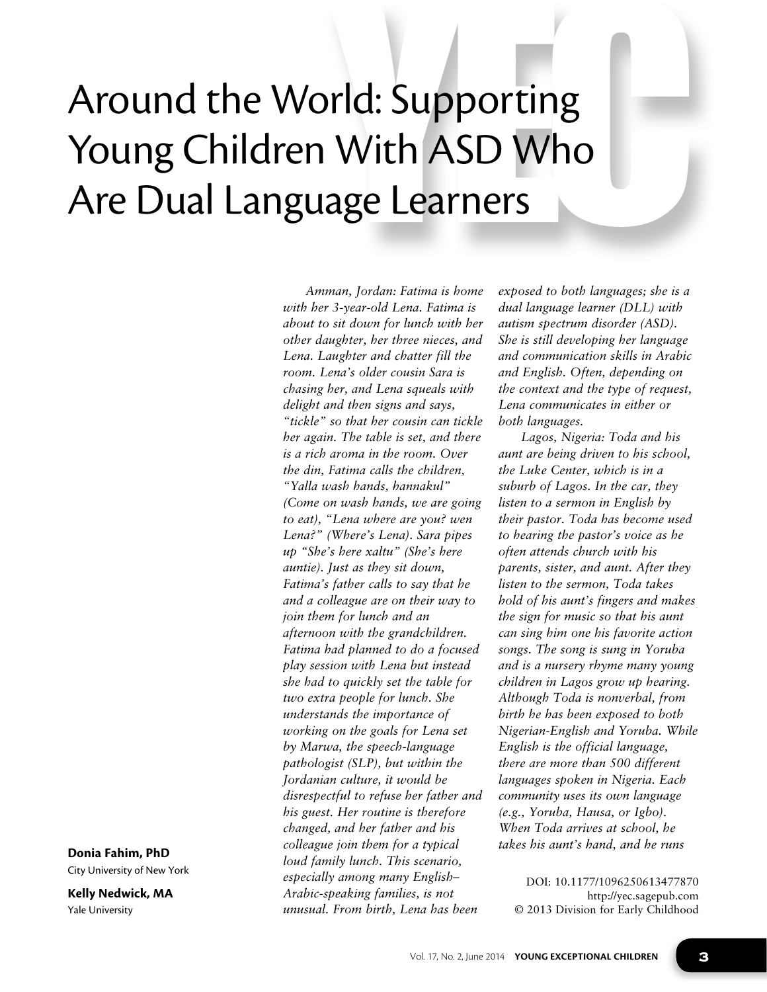# Around the World: Supporting<br>Young Children With ASD Who<br>Are Dual Language Learners Around the World: Supporting Young Children With ASD Who Are Dual Language Learners

*Amman, Jordan: Fatima is home with her 3-year-old Lena. Fatima is about to sit down for lunch with her other daughter, her three nieces, and Lena. Laughter and chatter fill the room. Lena's older cousin Sara is chasing her, and Lena squeals with* 

*delight and then signs and says, "tickle" so that her cousin can tickle her again. The table is set, and there is a rich aroma in the room. Over the din, Fatima calls the children, "Yalla wash hands, hannakul" (Come on wash hands, we are going to eat), "Lena where are you? wen Lena?" (Where's Lena). Sara pipes up "She's here xaltu" (She's here auntie). Just as they sit down, Fatima's father calls to say that he and a colleague are on their way to join them for lunch and an afternoon with the grandchildren. Fatima had planned to do a focused play session with Lena but instead she had to quickly set the table for two extra people for lunch. She understands the importance of working on the goals for Lena set by Marwa, the speech-language pathologist (SLP), but within the Jordanian culture, it would be disrespectful to refuse her father and his guest. Her routine is therefore changed, and her father and his colleague join them for a typical loud family lunch. This scenario, especially among many English– Arabic-speaking families, is not unusual. From birth, Lena has been* 

*exposed to both languages; she is a dual language learner (DLL) with autism spectrum disorder (ASD). She is still developing her language and communication skills in Arabic and English. Often, depending on the context and the type of request, Lena communicates in either or both languages.*

*Lagos, Nigeria: Toda and his aunt are being driven to his school, the Luke Center, which is in a suburb of Lagos. In the car, they listen to a sermon in English by their pastor. Toda has become used to hearing the pastor's voice as he often attends church with his parents, sister, and aunt. After they listen to the sermon, Toda takes hold of his aunt's fingers and makes the sign for music so that his aunt can sing him one his favorite action songs. The song is sung in Yoruba and is a nursery rhyme many young children in Lagos grow up hearing. Although Toda is nonverbal, from birth he has been exposed to both Nigerian-English and Yoruba. While English is the official language, there are more than 500 different languages spoken in Nigeria. Each community uses its own language (e.g., Yoruba, Hausa, or Igbo). When Toda arrives at school, he takes his aunt's hand, and he runs* 

DOI: 10.1177/1096250613477870 http://yec.sagepub.com © 2013 Division for Early Childhood

**Donia Fahim, PhD** City University of New York

**Kelly Nedwick, MA** Yale University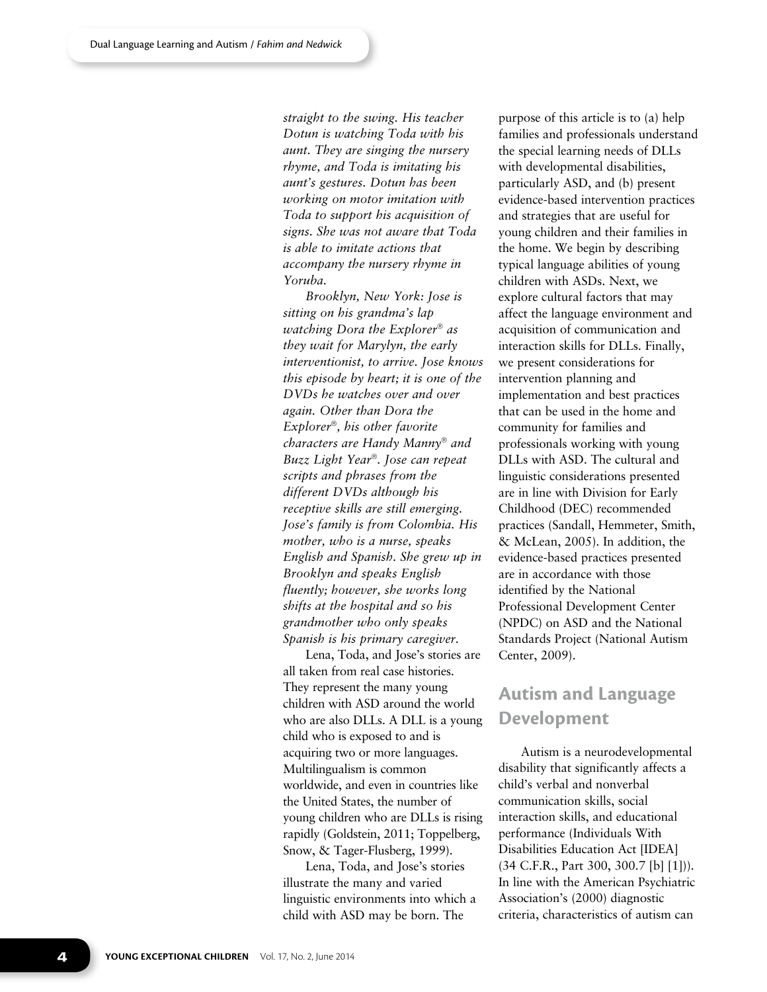*straight to the swing. His teacher Dotun is watching Toda with his aunt. They are singing the nursery rhyme, and Toda is imitating his aunt's gestures. Dotun has been working on motor imitation with Toda to support his acquisition of signs. She was not aware that Toda is able to imitate actions that accompany the nursery rhyme in Yoruba.*

*Brooklyn, New York: Jose is sitting on his grandma's lap watching Dora the Explorer as they wait for Marylyn, the early interventionist, to arrive. Jose knows this episode by heart; it is one of the DVDs he watches over and over again. Other than Dora the Explorer , his other favorite characters are Handy Manny and Buzz Light Year . Jose can repeat scripts and phrases from the different DVDs although his receptive skills are still emerging. Jose's family is from Colombia. His mother, who is a nurse, speaks English and Spanish. She grew up in Brooklyn and speaks English fluently; however, she works long shifts at the hospital and so his grandmother who only speaks Spanish is his primary caregiver.*

Lena, Toda, and Jose's stories are all taken from real case histories. They represent the many young children with ASD around the world who are also DLLs. A DLL is a young child who is exposed to and is acquiring two or more languages. Multilingualism is common worldwide, and even in countries like the United States, the number of young children who are DLLs is rising rapidly (Goldstein, 2011; Toppelberg, Snow, & Tager-Flusberg, 1999).

Lena, Toda, and Jose's stories illustrate the many and varied linguistic environments into which a child with ASD may be born. The

purpose of this article is to (a) help families and professionals understand the special learning needs of DLLs with developmental disabilities, particularly ASD, and (b) present evidence-based intervention practices and strategies that are useful for young children and their families in the home. We begin by describing typical language abilities of young children with ASDs. Next, we explore cultural factors that may affect the language environment and acquisition of communication and interaction skills for DLLs. Finally, we present considerations for intervention planning and implementation and best practices that can be used in the home and community for families and professionals working with young DLLs with ASD. The cultural and linguistic considerations presented are in line with Division for Early Childhood (DEC) recommended practices (Sandall, Hemmeter, Smith, & McLean, 2005). In addition, the evidence-based practices presented are in accordance with those identified by the National Professional Development Center (NPDC) on ASD and the National Standards Project (National Autism Center, 2009).

# **Autism and Language Development**

Autism is a neurodevelopmental disability that significantly affects a child's verbal and nonverbal communication skills, social interaction skills, and educational performance (Individuals With Disabilities Education Act [IDEA] (34 C.F.R., Part 300, 300.7 [b] [1])). In line with the American Psychiatric Association's (2000) diagnostic criteria, characteristics of autism can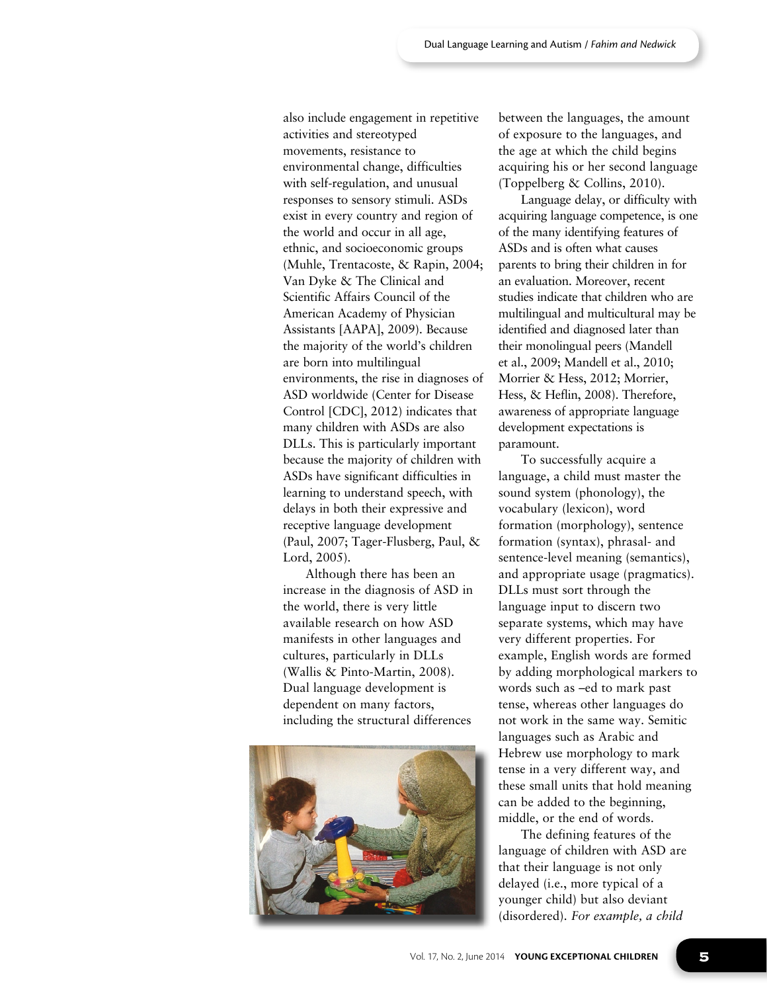also include engagement in repetitive activities and stereotyped movements, resistance to environmental change, difficulties with self-regulation, and unusual responses to sensory stimuli. ASDs exist in every country and region of the world and occur in all age, ethnic, and socioeconomic groups (Muhle, Trentacoste, & Rapin, 2004; Van Dyke & The Clinical and Scientific Affairs Council of the American Academy of Physician Assistants [AAPA], 2009). Because the majority of the world's children are born into multilingual environments, the rise in diagnoses of ASD worldwide (Center for Disease Control [CDC], 2012) indicates that many children with ASDs are also DLLs. This is particularly important because the majority of children with ASDs have significant difficulties in learning to understand speech, with delays in both their expressive and receptive language development (Paul, 2007; Tager-Flusberg, Paul, & Lord, 2005).

Although there has been an increase in the diagnosis of ASD in the world, there is very little available research on how ASD manifests in other languages and cultures, particularly in DLLs (Wallis & Pinto-Martin, 2008). Dual language development is dependent on many factors, including the structural differences



between the languages, the amount of exposure to the languages, and the age at which the child begins acquiring his or her second language (Toppelberg & Collins, 2010).

Language delay, or difficulty with acquiring language competence, is one of the many identifying features of ASDs and is often what causes parents to bring their children in for an evaluation. Moreover, recent studies indicate that children who are multilingual and multicultural may be identified and diagnosed later than their monolingual peers (Mandell et al., 2009; Mandell et al., 2010; Morrier & Hess, 2012; Morrier, Hess, & Heflin, 2008). Therefore, awareness of appropriate language development expectations is paramount.

To successfully acquire a language, a child must master the sound system (phonology), the vocabulary (lexicon), word formation (morphology), sentence formation (syntax), phrasal- and sentence-level meaning (semantics), and appropriate usage (pragmatics). DLLs must sort through the language input to discern two separate systems, which may have very different properties. For example, English words are formed by adding morphological markers to words such as –ed to mark past tense, whereas other languages do not work in the same way. Semitic languages such as Arabic and Hebrew use morphology to mark tense in a very different way, and these small units that hold meaning can be added to the beginning, middle, or the end of words.

The defining features of the language of children with ASD are that their language is not only delayed (i.e., more typical of a younger child) but also deviant (disordered). *For example, a child*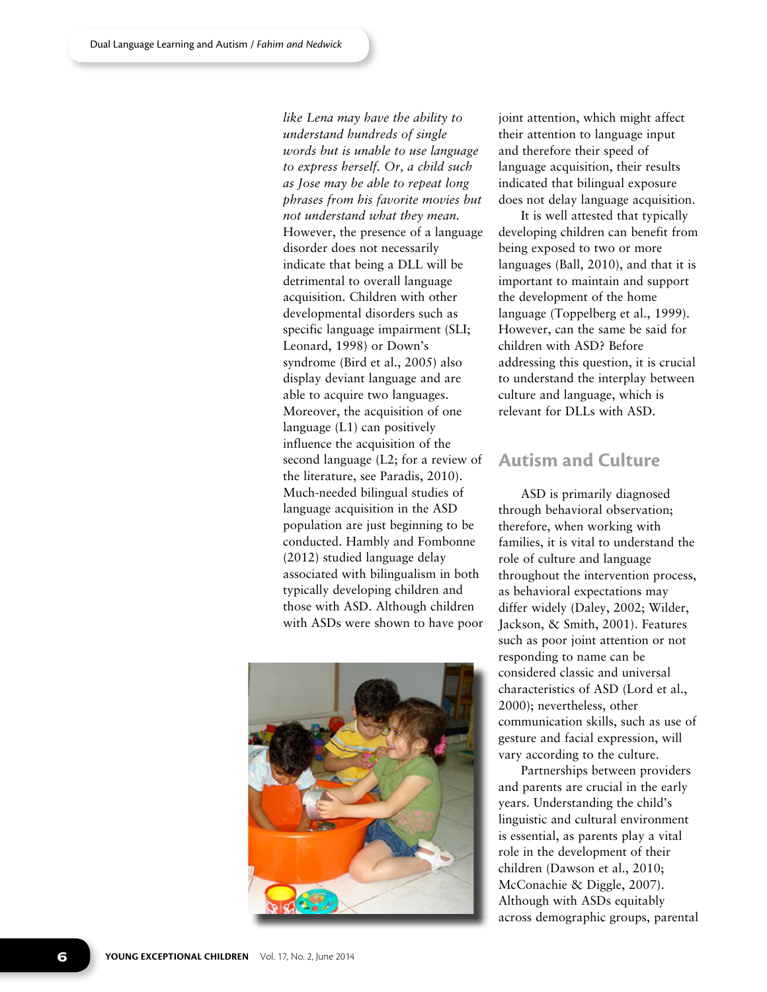*like Lena may have the ability to understand hundreds of single words but is unable to use language to express herself. Or, a child such as Jose may be able to repeat long phrases from his favorite movies but not understand what they mean.* However, the presence of a language disorder does not necessarily indicate that being a DLL will be detrimental to overall language acquisition. Children with other developmental disorders such as specific language impairment (SLI; Leonard, 1998) or Down's syndrome (Bird et al., 2005) also display deviant language and are able to acquire two languages. Moreover, the acquisition of one language (L1) can positively influence the acquisition of the second language (L2; for a review of the literature, see Paradis, 2010). Much-needed bilingual studies of language acquisition in the ASD population are just beginning to be conducted. Hambly and Fombonne (2012) studied language delay associated with bilingualism in both typically developing children and those with ASD. Although children with ASDs were shown to have poor



joint attention, which might affect their attention to language input and therefore their speed of language acquisition, their results indicated that bilingual exposure does not delay language acquisition.

It is well attested that typically developing children can benefit from being exposed to two or more languages (Ball, 2010), and that it is important to maintain and support the development of the home language (Toppelberg et al., 1999). However, can the same be said for children with ASD? Before addressing this question, it is crucial to understand the interplay between culture and language, which is relevant for DLLs with ASD.

# **Autism and Culture**

ASD is primarily diagnosed through behavioral observation; therefore, when working with families, it is vital to understand the role of culture and language throughout the intervention process, as behavioral expectations may differ widely (Daley, 2002; Wilder, Jackson, & Smith, 2001). Features such as poor joint attention or not responding to name can be considered classic and universal characteristics of ASD (Lord et al., 2000); nevertheless, other communication skills, such as use of gesture and facial expression, will vary according to the culture.

Partnerships between providers and parents are crucial in the early years. Understanding the child's linguistic and cultural environment is essential, as parents play a vital role in the development of their children (Dawson et al., 2010; McConachie & Diggle, 2007). Although with ASDs equitably across demographic groups, parental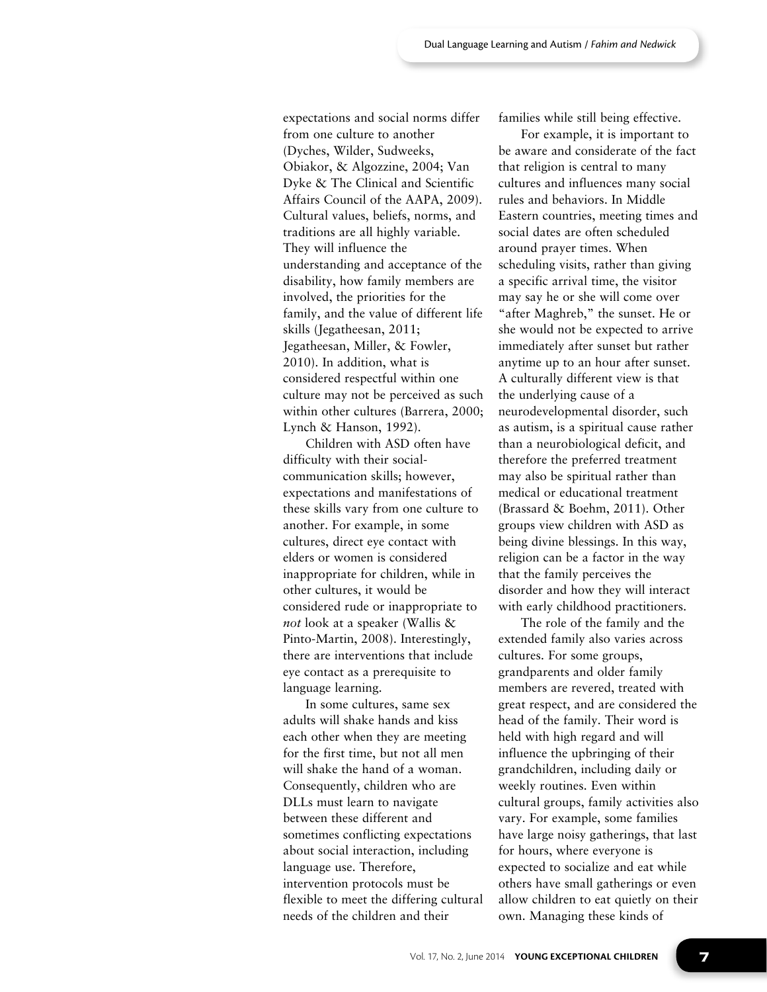expectations and social norms differ from one culture to another (Dyches, Wilder, Sudweeks, Obiakor, & Algozzine, 2004; Van Dyke & The Clinical and Scientific Affairs Council of the AAPA, 2009). Cultural values, beliefs, norms, and traditions are all highly variable. They will influence the understanding and acceptance of the disability, how family members are involved, the priorities for the family, and the value of different life skills (Jegatheesan, 2011; Jegatheesan, Miller, & Fowler, 2010). In addition, what is considered respectful within one culture may not be perceived as such within other cultures (Barrera, 2000; Lynch & Hanson, 1992).

Children with ASD often have difficulty with their socialcommunication skills; however, expectations and manifestations of these skills vary from one culture to another. For example, in some cultures, direct eye contact with elders or women is considered inappropriate for children, while in other cultures, it would be considered rude or inappropriate to *not* look at a speaker (Wallis & Pinto-Martin, 2008). Interestingly, there are interventions that include eye contact as a prerequisite to language learning.

In some cultures, same sex adults will shake hands and kiss each other when they are meeting for the first time, but not all men will shake the hand of a woman. Consequently, children who are DLLs must learn to navigate between these different and sometimes conflicting expectations about social interaction, including language use. Therefore, intervention protocols must be flexible to meet the differing cultural needs of the children and their

families while still being effective.

For example, it is important to be aware and considerate of the fact that religion is central to many cultures and influences many social rules and behaviors. In Middle Eastern countries, meeting times and social dates are often scheduled around prayer times. When scheduling visits, rather than giving a specific arrival time, the visitor may say he or she will come over "after Maghreb," the sunset. He or she would not be expected to arrive immediately after sunset but rather anytime up to an hour after sunset. A culturally different view is that the underlying cause of a neurodevelopmental disorder, such as autism, is a spiritual cause rather than a neurobiological deficit, and therefore the preferred treatment may also be spiritual rather than medical or educational treatment (Brassard & Boehm, 2011). Other groups view children with ASD as being divine blessings. In this way, religion can be a factor in the way that the family perceives the disorder and how they will interact with early childhood practitioners.

The role of the family and the extended family also varies across cultures. For some groups, grandparents and older family members are revered, treated with great respect, and are considered the head of the family. Their word is held with high regard and will influence the upbringing of their grandchildren, including daily or weekly routines. Even within cultural groups, family activities also vary. For example, some families have large noisy gatherings, that last for hours, where everyone is expected to socialize and eat while others have small gatherings or even allow children to eat quietly on their own. Managing these kinds of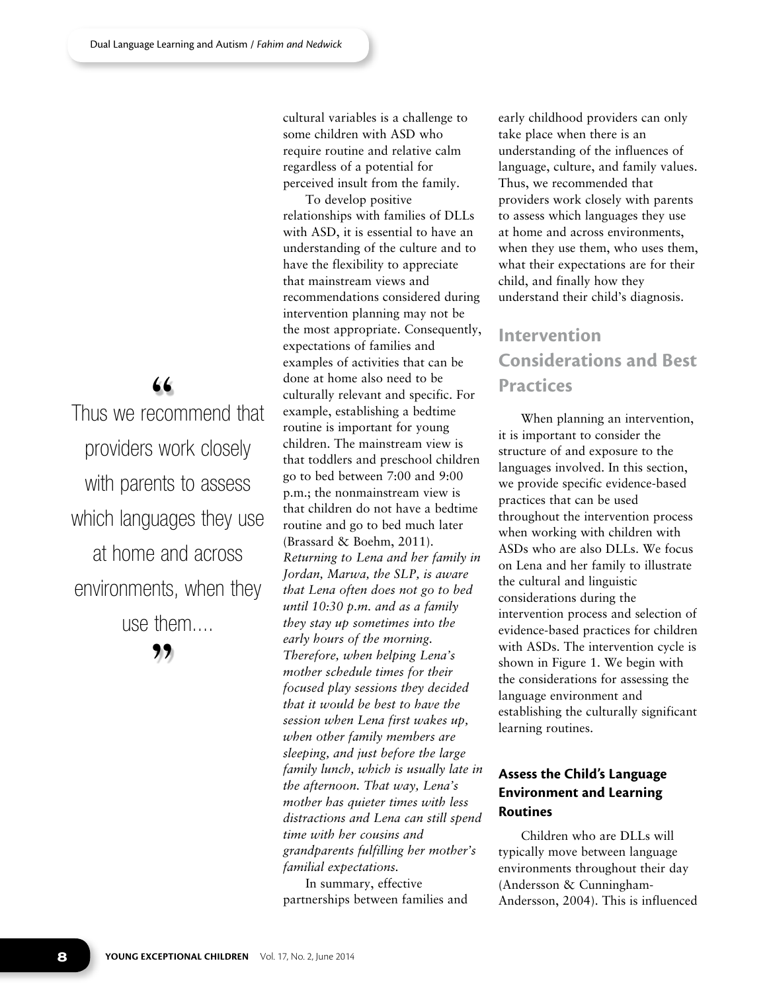**"** Thus we recommend that providers work closely with parents to assess which languages they use at home and across environments, when they

use them....

**"**

cultural variables is a challenge to some children with ASD who require routine and relative calm regardless of a potential for perceived insult from the family.

To develop positive relationships with families of DLLs with ASD, it is essential to have an understanding of the culture and to have the flexibility to appreciate that mainstream views and recommendations considered during intervention planning may not be the most appropriate. Consequently, expectations of families and examples of activities that can be done at home also need to be culturally relevant and specific. For example, establishing a bedtime routine is important for young children. The mainstream view is that toddlers and preschool children go to bed between 7:00 and 9:00 p.m.; the nonmainstream view is that children do not have a bedtime routine and go to bed much later (Brassard & Boehm, 2011). *Returning to Lena and her family in Jordan, Marwa, the SLP, is aware that Lena often does not go to bed until 10:30 p.m. and as a family they stay up sometimes into the early hours of the morning. Therefore, when helping Lena's mother schedule times for their focused play sessions they decided that it would be best to have the session when Lena first wakes up, when other family members are sleeping, and just before the large family lunch, which is usually late in the afternoon. That way, Lena's mother has quieter times with less distractions and Lena can still spend time with her cousins and grandparents fulfilling her mother's familial expectations.*

In summary, effective partnerships between families and early childhood providers can only take place when there is an understanding of the influences of language, culture, and family values. Thus, we recommended that providers work closely with parents to assess which languages they use at home and across environments, when they use them, who uses them, what their expectations are for their child, and finally how they understand their child's diagnosis.

# **Intervention Considerations and Best Practices**

When planning an intervention, it is important to consider the structure of and exposure to the languages involved. In this section, we provide specific evidence-based practices that can be used throughout the intervention process when working with children with ASDs who are also DLLs. We focus on Lena and her family to illustrate the cultural and linguistic considerations during the intervention process and selection of evidence-based practices for children with ASDs. The intervention cycle is shown in Figure 1. We begin with the considerations for assessing the language environment and establishing the culturally significant learning routines.

## **Assess the Child's Language Environment and Learning Routines**

Children who are DLLs will typically move between language environments throughout their day (Andersson & Cunningham-Andersson, 2004). This is influenced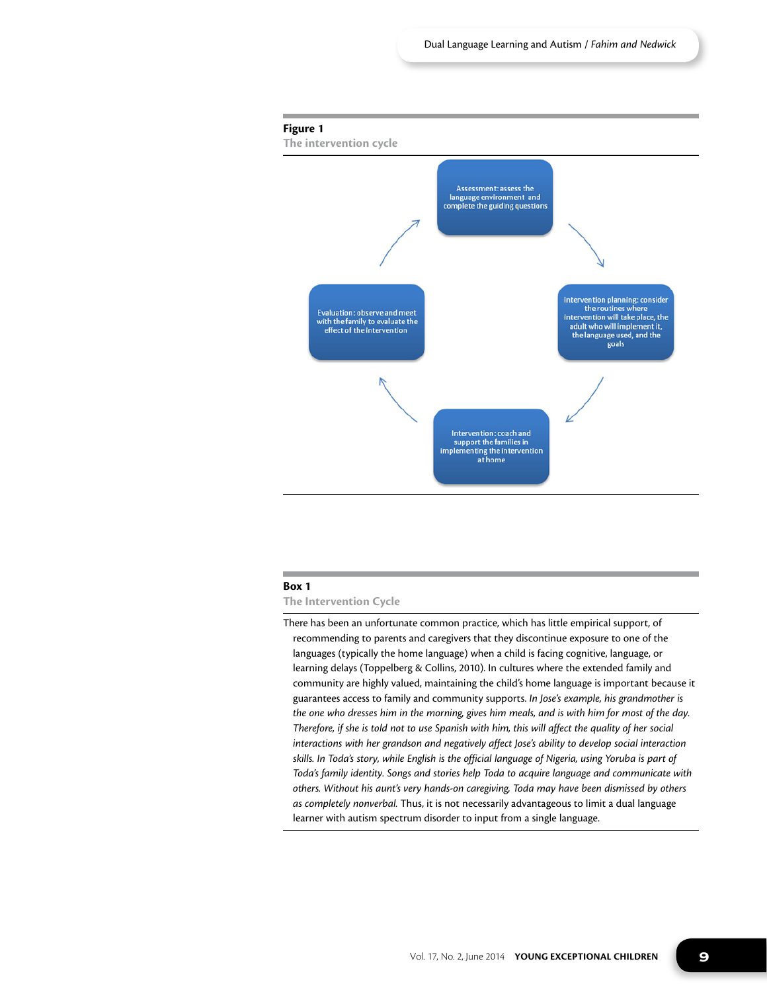#### **Figure 1**

**The intervention cycle**



#### **Box 1**

**The Intervention Cycle**

There has been an unfortunate common practice, which has little empirical support, of recommending to parents and caregivers that they discontinue exposure to one of the languages (typically the home language) when a child is facing cognitive, language, or learning delays (Toppelberg & Collins, 2010). In cultures where the extended family and community are highly valued, maintaining the child's home language is important because it guarantees access to family and community supports. *In Jose's example, his grandmother is the one who dresses him in the morning, gives him meals, and is with him for most of the day. Therefore, if she is told not to use Spanish with him, this will affect the quality of her social interactions with her grandson and negatively affect Jose's ability to develop social interaction skills. In Toda's story, while English is the official language of Nigeria, using Yoruba is part of Toda's family identity. Songs and stories help Toda to acquire language and communicate with others. Without his aunt's very hands-on caregiving, Toda may have been dismissed by others as completely nonverbal.* Thus, it is not necessarily advantageous to limit a dual language learner with autism spectrum disorder to input from a single language.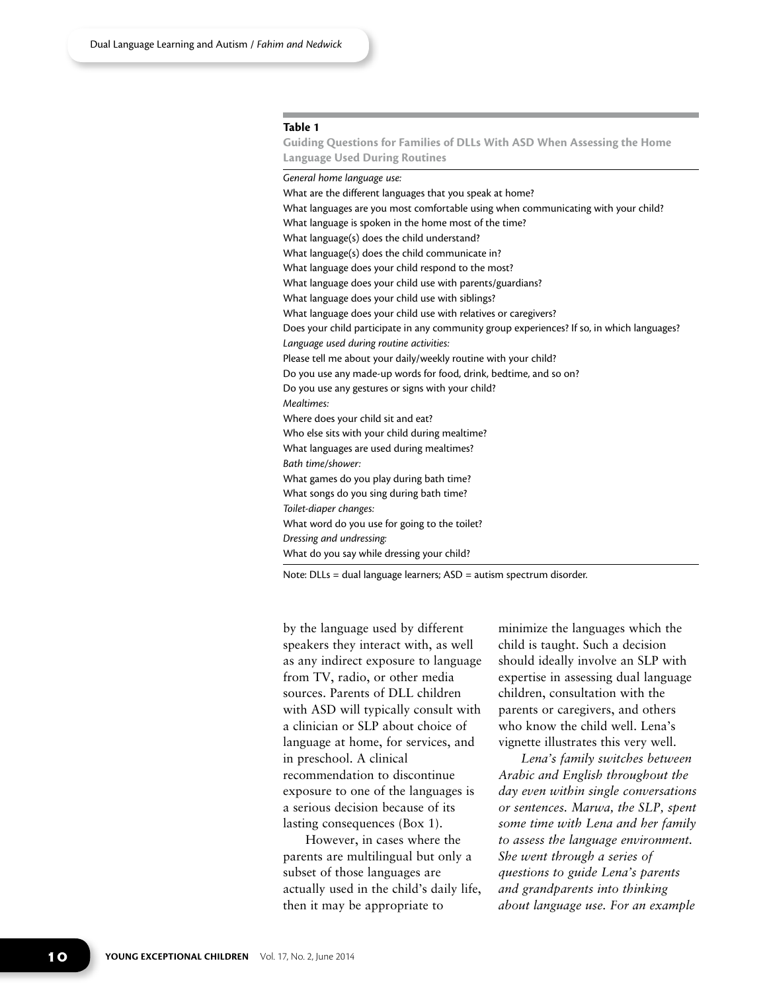#### **Table 1**

**Guiding Questions for Families of DLLs With ASD When Assessing the Home Language Used During Routines**

| General home language use:                                                                 |
|--------------------------------------------------------------------------------------------|
| What are the different languages that you speak at home?                                   |
| What languages are you most comfortable using when communicating with your child?          |
| What language is spoken in the home most of the time?                                      |
| What language(s) does the child understand?                                                |
| What language(s) does the child communicate in?                                            |
| What language does your child respond to the most?                                         |
| What language does your child use with parents/guardians?                                  |
| What language does your child use with siblings?                                           |
| What language does your child use with relatives or caregivers?                            |
| Does your child participate in any community group experiences? If so, in which languages? |
| Language used during routine activities:                                                   |
| Please tell me about your daily/weekly routine with your child?                            |
| Do you use any made-up words for food, drink, bedtime, and so on?                          |
| Do you use any gestures or signs with your child?                                          |
| Mealtimes:                                                                                 |
| Where does your child sit and eat?                                                         |
| Who else sits with your child during mealtime?                                             |
| What languages are used during mealtimes?                                                  |
| Bath time/shower:                                                                          |
| What games do you play during bath time?                                                   |
| What songs do you sing during bath time?                                                   |
| Toilet-diaper changes:                                                                     |
| What word do you use for going to the toilet?                                              |
| Dressing and undressing:                                                                   |
| What do you say while dressing your child?                                                 |

Note: DLLs = dual language learners; ASD = autism spectrum disorder.

by the language used by different speakers they interact with, as well as any indirect exposure to language from TV, radio, or other media sources. Parents of DLL children with ASD will typically consult with a clinician or SLP about choice of language at home, for services, and in preschool. A clinical recommendation to discontinue exposure to one of the languages is a serious decision because of its lasting consequences (Box 1).

However, in cases where the parents are multilingual but only a subset of those languages are actually used in the child's daily life, then it may be appropriate to

minimize the languages which the child is taught. Such a decision should ideally involve an SLP with expertise in assessing dual language children, consultation with the parents or caregivers, and others who know the child well. Lena's vignette illustrates this very well.

*Lena's family switches between Arabic and English throughout the day even within single conversations or sentences. Marwa, the SLP, spent some time with Lena and her family to assess the language environment. She went through a series of questions to guide Lena's parents and grandparents into thinking about language use. For an example*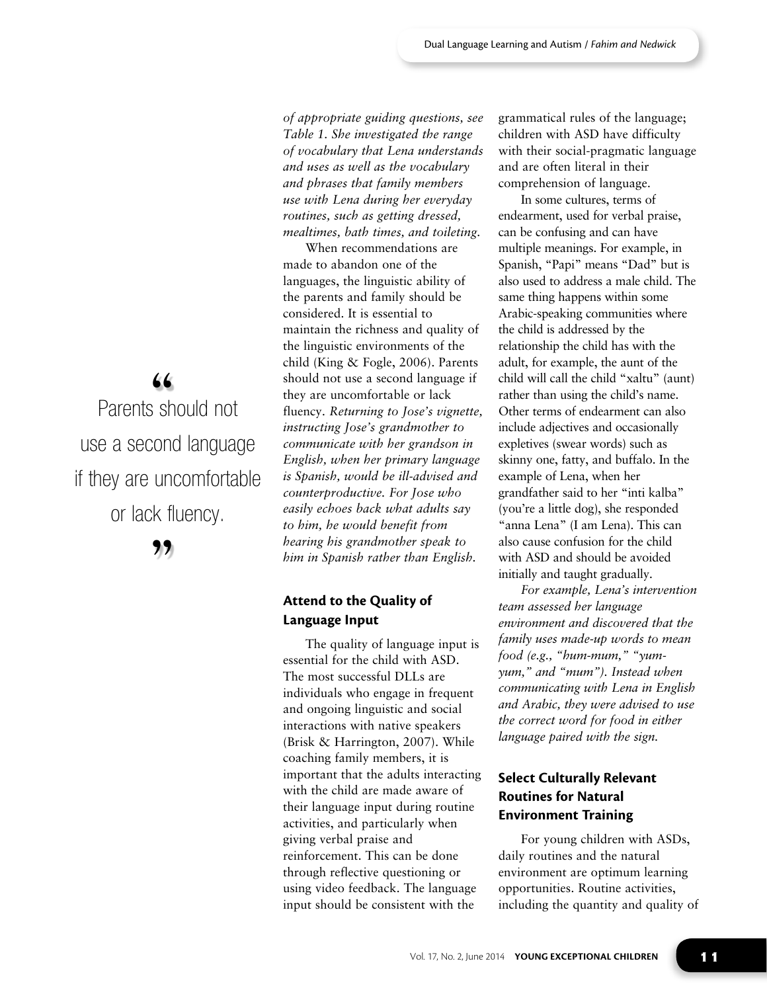*of appropriate guiding questions, see Table 1. She investigated the range of vocabulary that Lena understands and uses as well as the vocabulary and phrases that family members use with Lena during her everyday routines, such as getting dressed, mealtimes, bath times, and toileting.*

When recommendations are made to abandon one of the languages, the linguistic ability of the parents and family should be considered. It is essential to maintain the richness and quality of the linguistic environments of the child (King & Fogle, 2006). Parents should not use a second language if they are uncomfortable or lack fluency. *Returning to Jose's vignette, instructing Jose's grandmother to communicate with her grandson in English, when her primary language is Spanish, would be ill-advised and counterproductive. For Jose who easily echoes back what adults say to him, he would benefit from hearing his grandmother speak to him in Spanish rather than English.*

#### **Attend to the Quality of Language Input**

The quality of language input is essential for the child with ASD. The most successful DLLs are individuals who engage in frequent and ongoing linguistic and social interactions with native speakers (Brisk & Harrington, 2007). While coaching family members, it is important that the adults interacting with the child are made aware of their language input during routine activities, and particularly when giving verbal praise and reinforcement. This can be done through reflective questioning or using video feedback. The language input should be consistent with the

grammatical rules of the language; children with ASD have difficulty with their social-pragmatic language and are often literal in their comprehension of language.

In some cultures, terms of endearment, used for verbal praise, can be confusing and can have multiple meanings. For example, in Spanish, "Papi" means "Dad" but is also used to address a male child. The same thing happens within some Arabic-speaking communities where the child is addressed by the relationship the child has with the adult, for example, the aunt of the child will call the child "xaltu" (aunt) rather than using the child's name. Other terms of endearment can also include adjectives and occasionally expletives (swear words) such as skinny one, fatty, and buffalo. In the example of Lena, when her grandfather said to her "inti kalba" (you're a little dog), she responded "anna Lena" (I am Lena). This can also cause confusion for the child with ASD and should be avoided initially and taught gradually.

*For example, Lena's intervention team assessed her language environment and discovered that the family uses made-up words to mean food (e.g., "hum-mum," "yumyum," and "mum"). Instead when communicating with Lena in English and Arabic, they were advised to use the correct word for food in either language paired with the sign.*

# **Select Culturally Relevant Routines for Natural Environment Training**

For young children with ASDs, daily routines and the natural environment are optimum learning opportunities. Routine activities, including the quantity and quality of

**"** Parents should not use a second language if they are uncomfortable or lack fluency.

**"**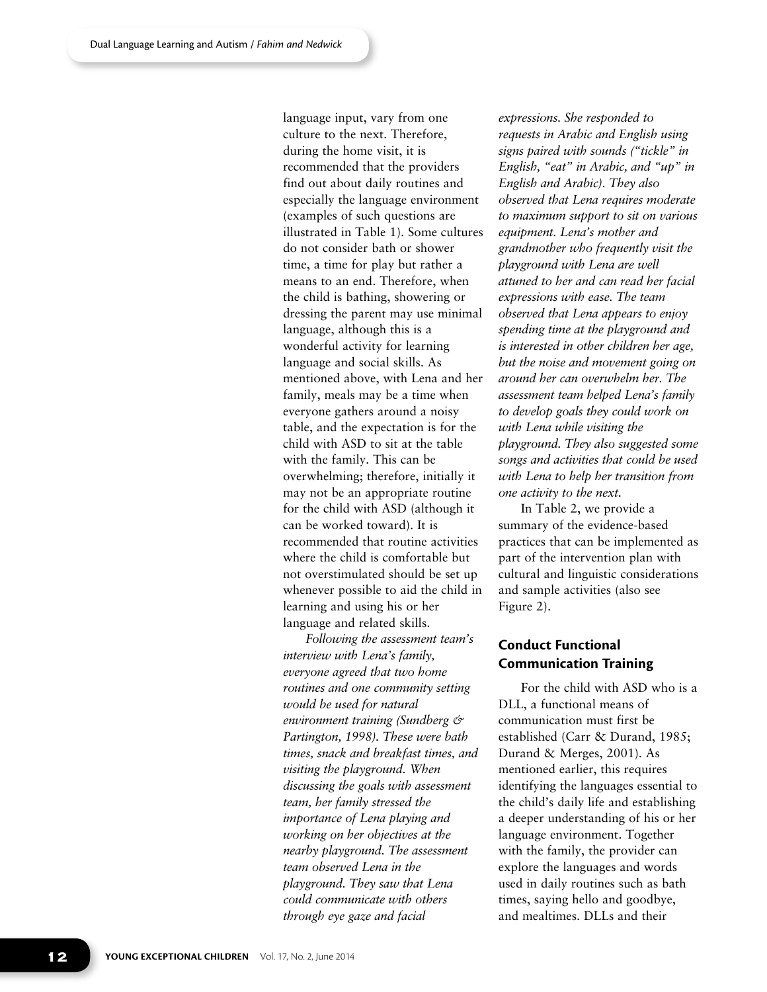language input, vary from one culture to the next. Therefore, during the home visit, it is recommended that the providers find out about daily routines and especially the language environment (examples of such questions are illustrated in Table 1). Some cultures do not consider bath or shower time, a time for play but rather a means to an end. Therefore, when the child is bathing, showering or dressing the parent may use minimal language, although this is a wonderful activity for learning language and social skills. As mentioned above, with Lena and her family, meals may be a time when everyone gathers around a noisy table, and the expectation is for the child with ASD to sit at the table with the family. This can be overwhelming; therefore, initially it may not be an appropriate routine for the child with ASD (although it can be worked toward). It is recommended that routine activities where the child is comfortable but not overstimulated should be set up whenever possible to aid the child in learning and using his or her language and related skills.

*Following the assessment team's interview with Lena's family, everyone agreed that two home routines and one community setting would be used for natural environment training (Sundberg & Partington, 1998). These were bath times, snack and breakfast times, and visiting the playground. When discussing the goals with assessment team, her family stressed the importance of Lena playing and working on her objectives at the nearby playground. The assessment team observed Lena in the playground. They saw that Lena could communicate with others through eye gaze and facial* 

*expressions. She responded to requests in Arabic and English using signs paired with sounds ("tickle" in English, "eat" in Arabic, and "up" in English and Arabic). They also observed that Lena requires moderate to maximum support to sit on various equipment. Lena's mother and grandmother who frequently visit the playground with Lena are well attuned to her and can read her facial expressions with ease. The team observed that Lena appears to enjoy spending time at the playground and is interested in other children her age, but the noise and movement going on around her can overwhelm her. The assessment team helped Lena's family to develop goals they could work on with Lena while visiting the playground. They also suggested some songs and activities that could be used with Lena to help her transition from one activity to the next.*

In Table 2, we provide a summary of the evidence-based practices that can be implemented as part of the intervention plan with cultural and linguistic considerations and sample activities (also see Figure 2).

#### **Conduct Functional Communication Training**

For the child with ASD who is a DLL, a functional means of communication must first be established (Carr & Durand, 1985; Durand & Merges, 2001). As mentioned earlier, this requires identifying the languages essential to the child's daily life and establishing a deeper understanding of his or her language environment. Together with the family, the provider can explore the languages and words used in daily routines such as bath times, saying hello and goodbye, and mealtimes. DLLs and their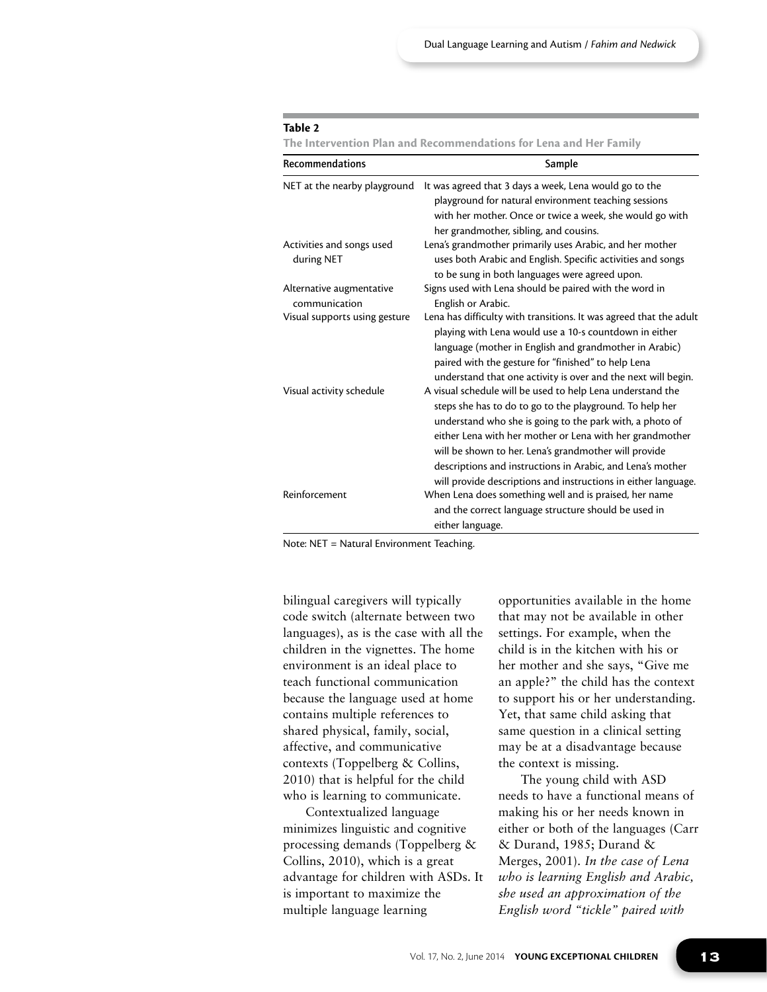#### **Table 2**

**The Intervention Plan and Recommendations for Lena and Her Family**

| <b>Recommendations</b>                    | Sample                                                                                                                                                                                                                                                                                                                                                                                                                                  |
|-------------------------------------------|-----------------------------------------------------------------------------------------------------------------------------------------------------------------------------------------------------------------------------------------------------------------------------------------------------------------------------------------------------------------------------------------------------------------------------------------|
| NET at the nearby playground              | It was agreed that 3 days a week, Lena would go to the<br>playground for natural environment teaching sessions<br>with her mother. Once or twice a week, she would go with<br>her grandmother, sibling, and cousins.                                                                                                                                                                                                                    |
| Activities and songs used<br>during NET   | Lena's grandmother primarily uses Arabic, and her mother<br>uses both Arabic and English. Specific activities and songs                                                                                                                                                                                                                                                                                                                 |
| Alternative augmentative<br>communication | to be sung in both languages were agreed upon.<br>Signs used with Lena should be paired with the word in<br>English or Arabic.                                                                                                                                                                                                                                                                                                          |
| Visual supports using gesture             | Lena has difficulty with transitions. It was agreed that the adult<br>playing with Lena would use a 10-s countdown in either<br>language (mother in English and grandmother in Arabic)<br>paired with the gesture for "finished" to help Lena<br>understand that one activity is over and the next will begin.                                                                                                                          |
| Visual activity schedule                  | A visual schedule will be used to help Lena understand the<br>steps she has to do to go to the playground. To help her<br>understand who she is going to the park with, a photo of<br>either Lena with her mother or Lena with her grandmother<br>will be shown to her. Lena's grandmother will provide<br>descriptions and instructions in Arabic, and Lena's mother<br>will provide descriptions and instructions in either language. |
| Reinforcement                             | When Lena does something well and is praised, her name<br>and the correct language structure should be used in<br>either language.                                                                                                                                                                                                                                                                                                      |

Note: NET = Natural Environment Teaching.

bilingual caregivers will typically code switch (alternate between two languages), as is the case with all the children in the vignettes. The home environment is an ideal place to teach functional communication because the language used at home contains multiple references to shared physical, family, social, affective, and communicative contexts (Toppelberg & Collins, 2010) that is helpful for the child who is learning to communicate.

Contextualized language minimizes linguistic and cognitive processing demands (Toppelberg & Collins, 2010), which is a great advantage for children with ASDs. It is important to maximize the multiple language learning

opportunities available in the home that may not be available in other settings. For example, when the child is in the kitchen with his or her mother and she says, "Give me an apple?" the child has the context to support his or her understanding. Yet, that same child asking that same question in a clinical setting may be at a disadvantage because the context is missing.

The young child with ASD needs to have a functional means of making his or her needs known in either or both of the languages (Carr & Durand, 1985; Durand & Merges, 2001). *In the case of Lena who is learning English and Arabic, she used an approximation of the English word "tickle" paired with*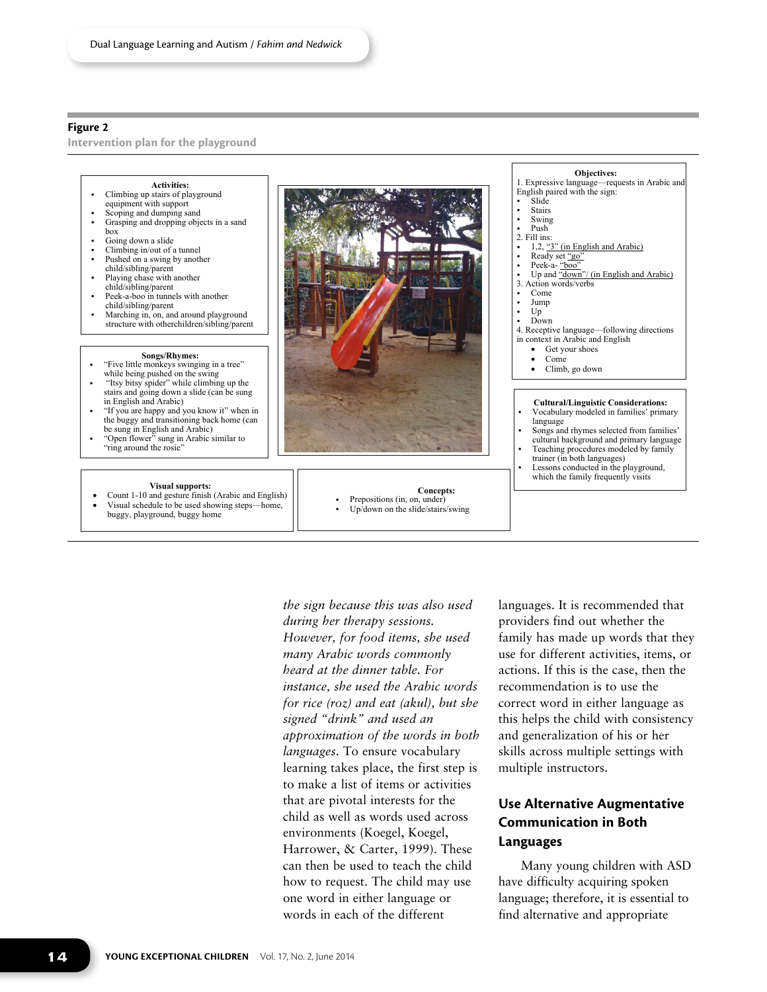#### **Figure 2**

**Intervention plan for the playground**



*the sign because this was also used during her therapy sessions. However, for food items, she used many Arabic words commonly heard at the dinner table. For instance, she used the Arabic words for rice (roz) and eat (akul), but she signed "drink" and used an approximation of the words in both languages.* To ensure vocabulary learning takes place, the first step is to make a list of items or activities that are pivotal interests for the child as well as words used across environments (Koegel, Koegel, Harrower, & Carter, 1999). These can then be used to teach the child how to request. The child may use one word in either language or words in each of the different

languages. It is recommended that providers find out whether the family has made up words that they use for different activities, items, or actions. If this is the case, then the recommendation is to use the correct word in either language as this helps the child with consistency and generalization of his or her skills across multiple settings with multiple instructors.

## **Use Alternative Augmentative Communication in Both Languages**

Many young children with ASD have difficulty acquiring spoken language; therefore, it is essential to find alternative and appropriate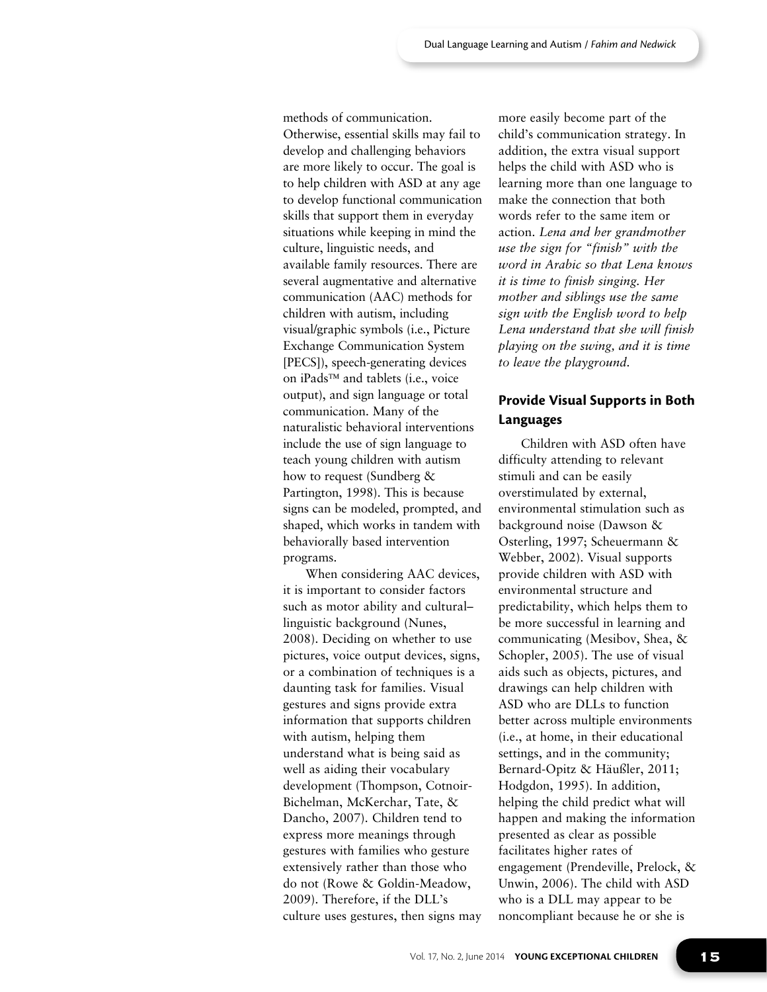methods of communication.

Otherwise, essential skills may fail to develop and challenging behaviors are more likely to occur. The goal is to help children with ASD at any age to develop functional communication skills that support them in everyday situations while keeping in mind the culture, linguistic needs, and available family resources. There are several augmentative and alternative communication (AAC) methods for children with autism, including visual/graphic symbols (i.e., Picture Exchange Communication System [PECS]), speech-generating devices on iPads<sup>™</sup> and tablets (i.e., voice output), and sign language or total communication. Many of the naturalistic behavioral interventions include the use of sign language to teach young children with autism how to request (Sundberg & Partington, 1998). This is because signs can be modeled, prompted, and shaped, which works in tandem with behaviorally based intervention programs.

When considering AAC devices, it is important to consider factors such as motor ability and cultural– linguistic background (Nunes, 2008). Deciding on whether to use pictures, voice output devices, signs, or a combination of techniques is a daunting task for families. Visual gestures and signs provide extra information that supports children with autism, helping them understand what is being said as well as aiding their vocabulary development (Thompson, Cotnoir-Bichelman, McKerchar, Tate, & Dancho, 2007). Children tend to express more meanings through gestures with families who gesture extensively rather than those who do not (Rowe & Goldin-Meadow, 2009). Therefore, if the DLL's culture uses gestures, then signs may more easily become part of the child's communication strategy. In addition, the extra visual support helps the child with ASD who is learning more than one language to make the connection that both words refer to the same item or action. *Lena and her grandmother use the sign for "finish" with the word in Arabic so that Lena knows it is time to finish singing. Her mother and siblings use the same sign with the English word to help Lena understand that she will finish playing on the swing, and it is time to leave the playground.*

#### **Provide Visual Supports in Both Languages**

Children with ASD often have difficulty attending to relevant stimuli and can be easily overstimulated by external, environmental stimulation such as background noise (Dawson & Osterling, 1997; Scheuermann & Webber, 2002). Visual supports provide children with ASD with environmental structure and predictability, which helps them to be more successful in learning and communicating (Mesibov, Shea, & Schopler, 2005). The use of visual aids such as objects, pictures, and drawings can help children with ASD who are DLLs to function better across multiple environments (i.e., at home, in their educational settings, and in the community; Bernard-Opitz & Häußler, 2011; Hodgdon, 1995). In addition, helping the child predict what will happen and making the information presented as clear as possible facilitates higher rates of engagement (Prendeville, Prelock, & Unwin, 2006). The child with ASD who is a DLL may appear to be noncompliant because he or she is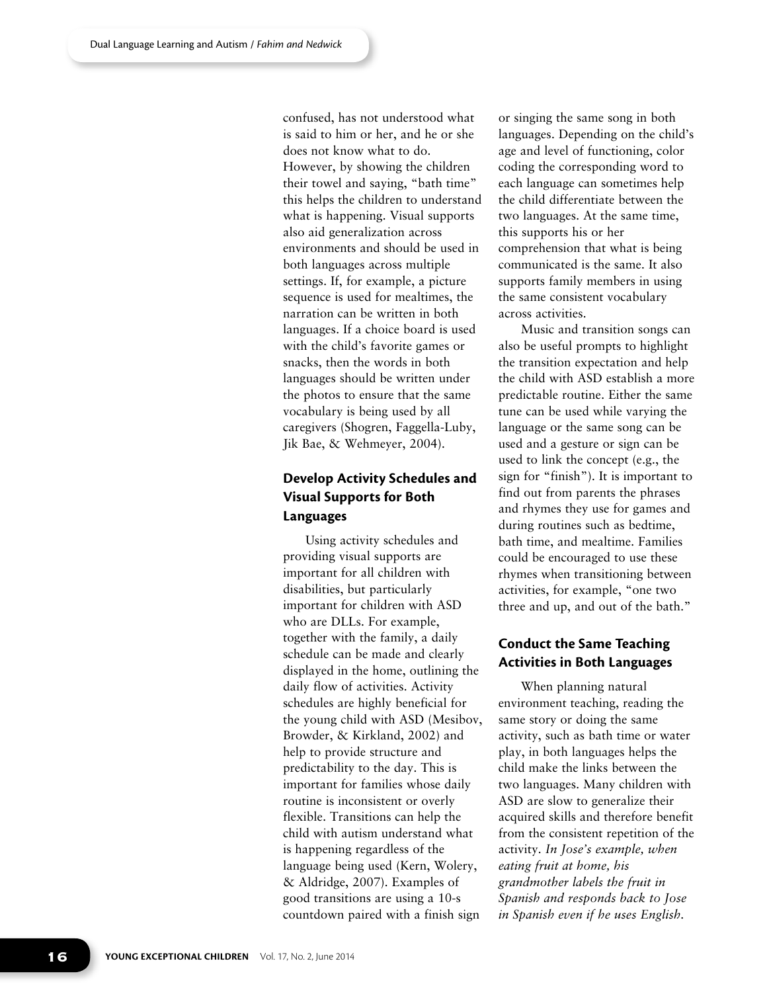confused, has not understood what is said to him or her, and he or she does not know what to do. However, by showing the children their towel and saying, "bath time" this helps the children to understand what is happening. Visual supports also aid generalization across environments and should be used in both languages across multiple settings. If, for example, a picture sequence is used for mealtimes, the narration can be written in both languages. If a choice board is used with the child's favorite games or snacks, then the words in both languages should be written under the photos to ensure that the same vocabulary is being used by all caregivers (Shogren, Faggella-Luby, Jik Bae, & Wehmeyer, 2004).

### **Develop Activity Schedules and Visual Supports for Both Languages**

Using activity schedules and providing visual supports are important for all children with disabilities, but particularly important for children with ASD who are DLLs. For example, together with the family, a daily schedule can be made and clearly displayed in the home, outlining the daily flow of activities. Activity schedules are highly beneficial for the young child with ASD (Mesibov, Browder, & Kirkland, 2002) and help to provide structure and predictability to the day. This is important for families whose daily routine is inconsistent or overly flexible. Transitions can help the child with autism understand what is happening regardless of the language being used (Kern, Wolery, & Aldridge, 2007). Examples of good transitions are using a 10-s countdown paired with a finish sign

or singing the same song in both languages. Depending on the child's age and level of functioning, color coding the corresponding word to each language can sometimes help the child differentiate between the two languages. At the same time, this supports his or her comprehension that what is being communicated is the same. It also supports family members in using the same consistent vocabulary across activities.

Music and transition songs can also be useful prompts to highlight the transition expectation and help the child with ASD establish a more predictable routine. Either the same tune can be used while varying the language or the same song can be used and a gesture or sign can be used to link the concept (e.g., the sign for "finish"). It is important to find out from parents the phrases and rhymes they use for games and during routines such as bedtime, bath time, and mealtime. Families could be encouraged to use these rhymes when transitioning between activities, for example, "one two three and up, and out of the bath."

#### **Conduct the Same Teaching Activities in Both Languages**

When planning natural environment teaching, reading the same story or doing the same activity, such as bath time or water play, in both languages helps the child make the links between the two languages. Many children with ASD are slow to generalize their acquired skills and therefore benefit from the consistent repetition of the activity. *In Jose's example, when eating fruit at home, his grandmother labels the fruit in Spanish and responds back to Jose in Spanish even if he uses English.*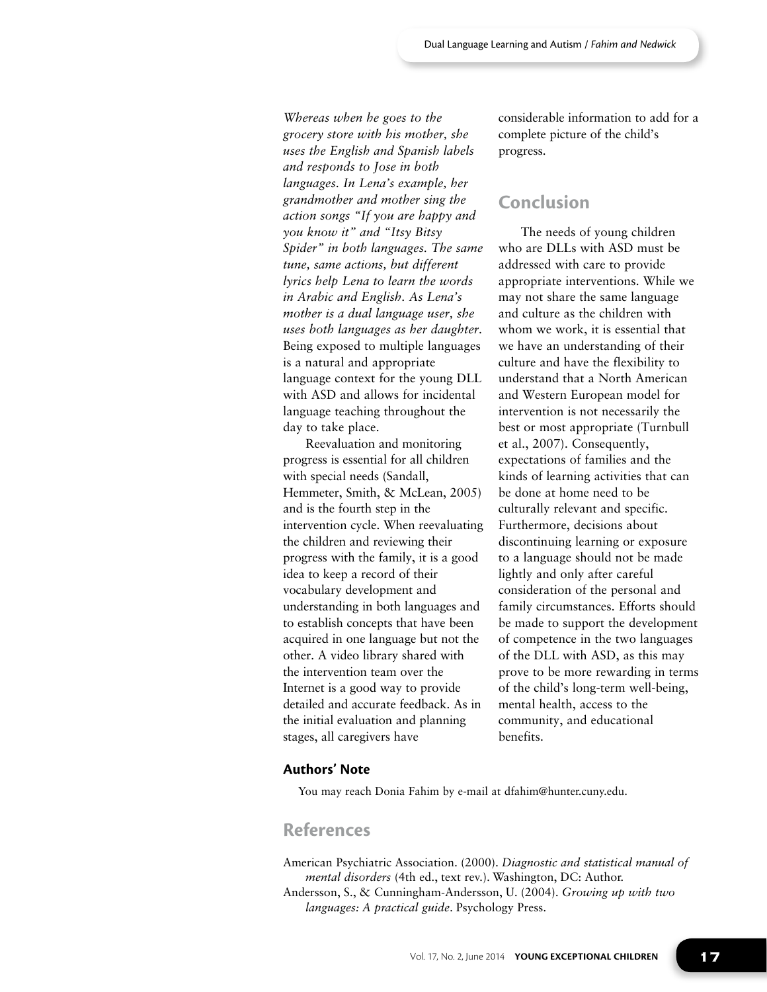*Whereas when he goes to the grocery store with his mother, she uses the English and Spanish labels and responds to Jose in both languages. In Lena's example, her grandmother and mother sing the action songs "If you are happy and you know it" and "Itsy Bitsy Spider" in both languages. The same tune, same actions, but different lyrics help Lena to learn the words in Arabic and English. As Lena's mother is a dual language user, she uses both languages as her daughter.* Being exposed to multiple languages is a natural and appropriate language context for the young DLL with ASD and allows for incidental language teaching throughout the day to take place.

Reevaluation and monitoring progress is essential for all children with special needs (Sandall, Hemmeter, Smith, & McLean, 2005) and is the fourth step in the intervention cycle. When reevaluating the children and reviewing their progress with the family, it is a good idea to keep a record of their vocabulary development and understanding in both languages and to establish concepts that have been acquired in one language but not the other. A video library shared with the intervention team over the Internet is a good way to provide detailed and accurate feedback. As in the initial evaluation and planning stages, all caregivers have

considerable information to add for a complete picture of the child's progress.

# **Conclusion**

The needs of young children who are DLLs with ASD must be addressed with care to provide appropriate interventions. While we may not share the same language and culture as the children with whom we work, it is essential that we have an understanding of their culture and have the flexibility to understand that a North American and Western European model for intervention is not necessarily the best or most appropriate (Turnbull et al., 2007). Consequently, expectations of families and the kinds of learning activities that can be done at home need to be culturally relevant and specific. Furthermore, decisions about discontinuing learning or exposure to a language should not be made lightly and only after careful consideration of the personal and family circumstances. Efforts should be made to support the development of competence in the two languages of the DLL with ASD, as this may prove to be more rewarding in terms of the child's long-term well-being, mental health, access to the community, and educational benefits.

#### **Authors' Note**

You may reach Donia Fahim by e-mail at dfahim@hunter.cuny.edu.

# **References**

- American Psychiatric Association. (2000). *Diagnostic and statistical manual of mental disorders* (4th ed., text rev.). Washington, DC: Author.
- Andersson, S., & Cunningham-Andersson, U. (2004). *Growing up with two languages: A practical guide*. Psychology Press.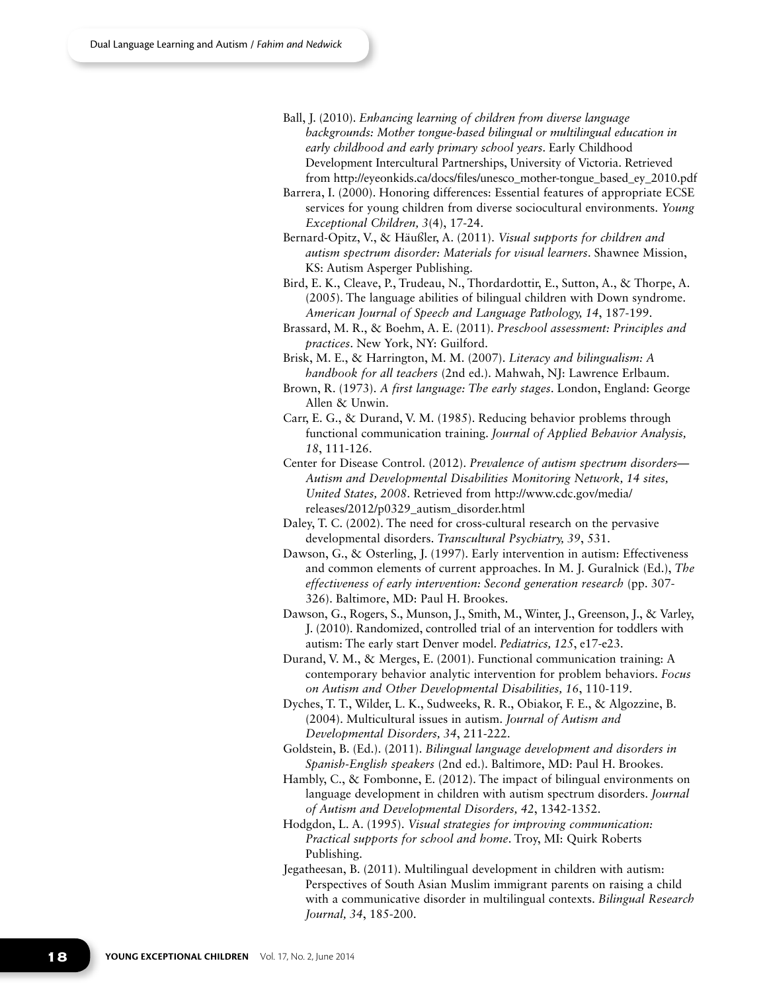- Ball, J. (2010). *Enhancing learning of children from diverse language*  backgrounds: Mother tongue-based bilingual or multilingual education in *early childhood and early primary school years*. Early Childhood Development Intercultural Partnerships, University of Victoria. Retrieved from http://eyeonkids.ca/docs/files/unesco\_mother-tongue\_based\_ey\_2010.pdf
- Barrera, I. (2000). Honoring differences: Essential features of appropriate ECSE services for young children from diverse sociocultural environments. *Young Exceptional Children, 3*(4), 17-24.
- Bernard-Opitz, V., & Häußler, A. (2011). *Visual supports for children and autism spectrum disorder: Materials for visual learners*. Shawnee Mission, KS: Autism Asperger Publishing.
- Bird, E. K., Cleave, P., Trudeau, N., Thordardottir, E., Sutton, A., & Thorpe, A. (2005). The language abilities of bilingual children with Down syndrome. *American Journal of Speech and Language Pathology, 14*, 187-199.
- Brassard, M. R., & Boehm, A. E. (2011). *Preschool assessment: Principles and practices*. New York, NY: Guilford.
- Brisk, M. E., & Harrington, M. M. (2007). *Literacy and bilingualism: A handbook for all teachers* (2nd ed.). Mahwah, NJ: Lawrence Erlbaum.
- Brown, R. (1973). *A first language: The early stages*. London, England: George Allen & Unwin.
- Carr, E. G., & Durand, V. M. (1985). Reducing behavior problems through functional communication training. *Journal of Applied Behavior Analysis, 18*, 111-126.
- Center for Disease Control. (2012). *Prevalence of autism spectrum disorders— Autism and Developmental Disabilities Monitoring Network, 14 sites, United States, 2008*[. Retrieved from http://www.cdc.gov/media/](http://www.cdc.gov/media/releases/2012/p0329_autism_disorder.html) releases/2012/p0329\_autism\_disorder.html
- Daley, T. C. (2002). The need for cross-cultural research on the pervasive developmental disorders. *Transcultural Psychiatry, 39*, 531.
- Dawson, G., & Osterling, J. (1997). Early intervention in autism: Effectiveness and common elements of current approaches. In M. J. Guralnick (Ed.), *The effectiveness of early intervention: Second generation research* (pp. 307- 326). Baltimore, MD: Paul H. Brookes.
- Dawson, G., Rogers, S., Munson, J., Smith, M., Winter, J., Greenson, J., & Varley, J. (2010). Randomized, controlled trial of an intervention for toddlers with autism: The early start Denver model. *Pediatrics, 125*, e17-e23.
- Durand, V. M., & Merges, E. (2001). Functional communication training: A contemporary behavior analytic intervention for problem behaviors. *Focus on Autism and Other Developmental Disabilities, 16*, 110-119.
- Dyches, T. T., Wilder, L. K., Sudweeks, R. R., Obiakor, F. E., & Algozzine, B. (2004). Multicultural issues in autism. *Journal of Autism and Developmental Disorders, 34*, 211-222.
- Goldstein, B. (Ed.). (2011). *Bilingual language development and disorders in Spanish-English speakers* (2nd ed.). Baltimore, MD: Paul H. Brookes.
- Hambly, C., & Fombonne, E. (2012). The impact of bilingual environments on language development in children with autism spectrum disorders. *Journal of Autism and Developmental Disorders, 42*, 1342-1352.
- Hodgdon, L. A. (1995). *Visual strategies for improving communication: Practical supports for school and home*. Troy, MI: Quirk Roberts Publishing.
- Jegatheesan, B. (2011). Multilingual development in children with autism: Perspectives of South Asian Muslim immigrant parents on raising a child with a communicative disorder in multilingual contexts. *Bilingual Research Journal, 34*, 185-200.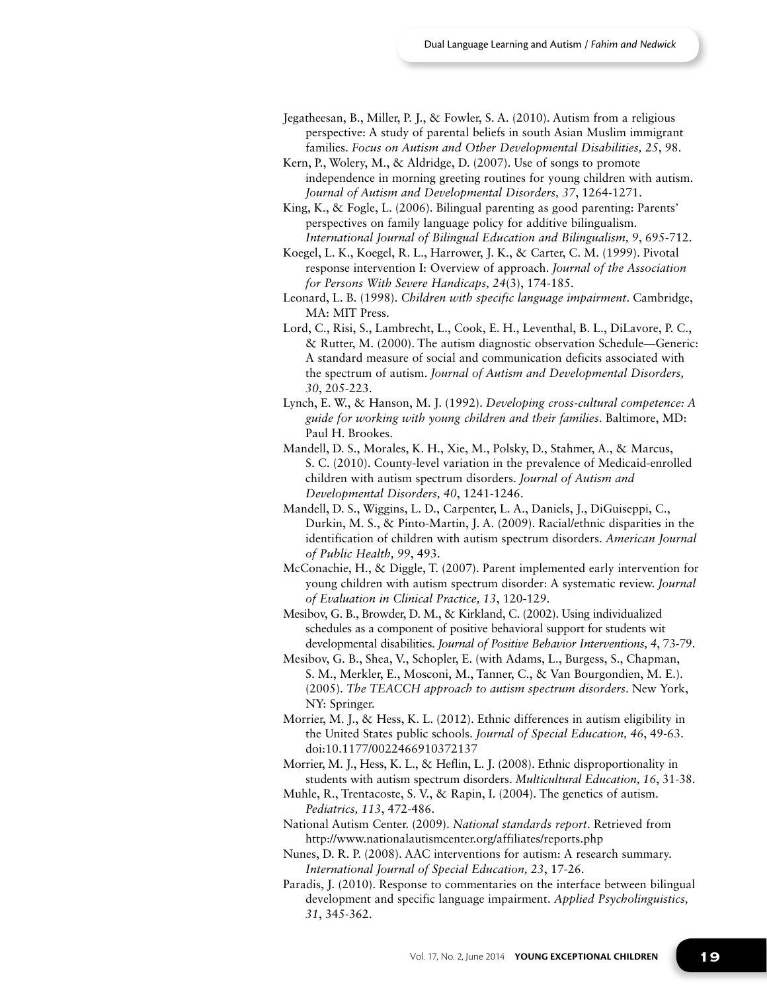- Jegatheesan, B., Miller, P. J., & Fowler, S. A. (2010). Autism from a religious perspective: A study of parental beliefs in south Asian Muslim immigrant families. *Focus on Autism and Other Developmental Disabilities, 25*, 98.
- Kern, P., Wolery, M., & Aldridge, D. (2007). Use of songs to promote independence in morning greeting routines for young children with autism. *Journal of Autism and Developmental Disorders, 37*, 1264-1271.

King, K., & Fogle, L. (2006). Bilingual parenting as good parenting: Parents' perspectives on family language policy for additive bilingualism. *International Journal of Bilingual Education and Bilingualism, 9*, 695-712.

Koegel, L. K., Koegel, R. L., Harrower, J. K., & Carter, C. M. (1999). Pivotal response intervention I: Overview of approach. *Journal of the Association for Persons With Severe Handicaps, 24*(3), 174-185.

Leonard, L. B. (1998). *Children with specific language impairment*. Cambridge, MA: MIT Press.

- Lord, C., Risi, S., Lambrecht, L., Cook, E. H., Leventhal, B. L., DiLavore, P. C., & Rutter, M. (2000). The autism diagnostic observation Schedule—Generic: A standard measure of social and communication deficits associated with the spectrum of autism. *Journal of Autism and Developmental Disorders, 30*, 205-223.
- Lynch, E. W., & Hanson, M. J. (1992). *Developing cross-cultural competence: A guide for working with young children and their families*. Baltimore, MD: Paul H. Brookes.
- Mandell, D. S., Morales, K. H., Xie, M., Polsky, D., Stahmer, A., & Marcus, S. C. (2010). County-level variation in the prevalence of Medicaid-enrolled children with autism spectrum disorders. *Journal of Autism and Developmental Disorders, 40*, 1241-1246.
- Mandell, D. S., Wiggins, L. D., Carpenter, L. A., Daniels, J., DiGuiseppi, C., Durkin, M. S., & Pinto-Martin, J. A. (2009). Racial/ethnic disparities in the identification of children with autism spectrum disorders. *American Journal of Public Health, 99*, 493.
- McConachie, H., & Diggle, T. (2007). Parent implemented early intervention for young children with autism spectrum disorder: A systematic review. *Journal of Evaluation in Clinical Practice, 13*, 120-129.

Mesibov, G. B., Browder, D. M., & Kirkland, C. (2002). Using individualized schedules as a component of positive behavioral support for students wit developmental disabilities. *Journal of Positive Behavior Interventions, 4*, 73-79.

- Mesibov, G. B., Shea, V., Schopler, E. (with Adams, L., Burgess, S., Chapman, S. M., Merkler, E., Mosconi, M., Tanner, C., & Van Bourgondien, M. E.). (2005). *The TEACCH approach to autism spectrum disorders*. New York, NY: Springer.
- Morrier, M. J., & Hess, K. L. (2012). Ethnic differences in autism eligibility in the United States public schools. *Journal of Special Education, 46*, 49-63. doi:10.1177/0022466910372137
- Morrier, M. J., Hess, K. L., & Heflin, L. J. (2008). Ethnic disproportionality in students with autism spectrum disorders. *Multicultural Education, 16*, 31-38.

Muhle, R., Trentacoste, S. V., & Rapin, I. (2004). The genetics of autism. *Pediatrics, 113*, 472-486.

- National Autism Center. (2009). *National standards report*. Retrieved from http://www.nationalautismcenter.org/affiliates/reports.php
- Nunes, D. R. P. (2008). AAC interventions for autism: A research summary. *International Journal of Special Education, 23*, 17-26.

Paradis, J. (2010). Response to commentaries on the interface between bilingual development and specific language impairment. *Applied Psycholinguistics, 31*, 345-362.